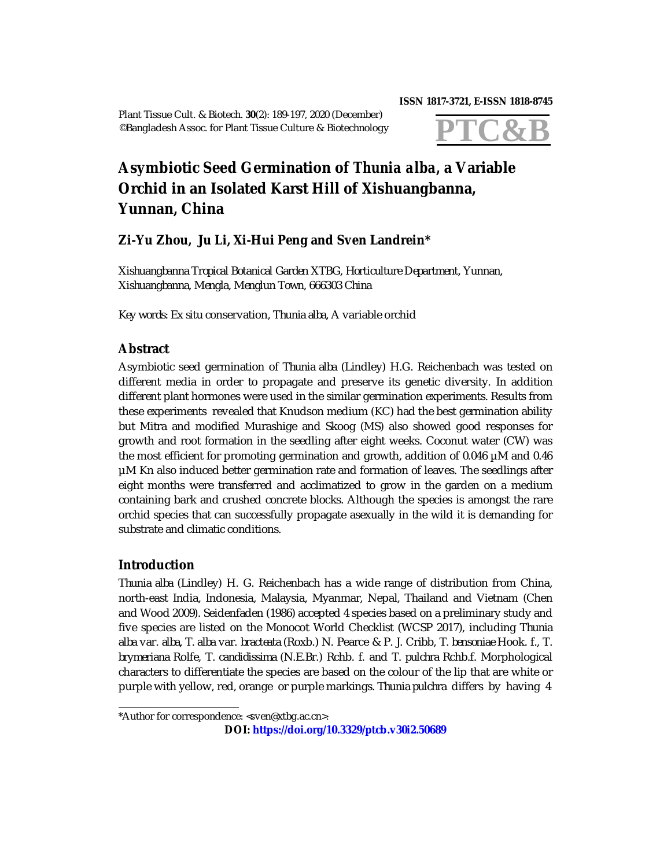Plant Tissue Cult. & Biotech. **30**(2): 189-197, 2020 (December) ©Bangladesh Assoc. for Plant Tissue Culture & Biotechnology

#### **ISSN 1817-3721, E-ISSN 1818-8745**



# **Asymbiotic Seed Germination of** *Thunia alba,* **a Variable Orchid in an Isolated Karst Hill of Xishuangbanna, Yunnan, China**

# **Zi-Yu Zhou, Ju Li, Xi-Hui Peng and Sven Landrein\***

*Xishuangbanna Tropical Botanical Garden XTBG, Horticulture Department, Yunnan, Xishuangbanna, Mengla, Menglun Town, 666303 China*

*Key words: Ex situ* conservation, *Thunia alba,* A variable orchid

# **Abstract**

Asymbiotic seed germination of *Thunia alba* (Lindley) H.G. Reichenbach was tested on different media in order to propagate and preserve its genetic diversity. In addition different plant hormones were used in the similar germination experiments. Results from these experiments revealed that Knudson medium (KC) had the best germination ability but Mitra and modified Murashige and Skoog (MS) also showed good responses for growth and root formation in the seedling after eight weeks. Coconut water (CW) was the most efficient for promoting germination and growth, addition of 0.046 µM and 0.46 µM Kn also induced better germination rate and formation of leaves. The seedlings after eight months were transferred and acclimatized to grow in the garden on a medium containing bark and crushed concrete blocks. Although the species is amongst the rare orchid species that can successfully propagate asexually in the wild it is demanding for substrate and climatic conditions.

## **Introduction**

*Thunia alba* (Lindley) H. G. Reichenbach has a wide range of distribution from China, north-east India, Indonesia, Malaysia, Myanmar, Nepal, Thailand and Vietnam (Chen and Wood 2009). Seidenfaden (1986) accepted 4 species based on a preliminary study and five species are listed on the Monocot World Checklist (WCSP 2017), including *Thunia alba* var. *alba, T. alba* var. *bracteata* (Roxb.) N. Pearce & P. J. Cribb, *T. bensoniae* Hook. f., *T. brymeriana* Rolfe, *T. candidissima* (N.E.Br.) Rchb. f. and *T. pulchra* Rchb.f. Morphological characters to differentiate the species are based on the colour of the lip that are white or purple with yellow, red, orange or purple markings. *Thunia pulchra* differs by having 4

**DOI: <https://doi.org/10.3329/ptcb.v30i2.50689>**

<sup>\*</sup>Author for correspondence: [<sven@xtbg.ac.cn](mailto:sven@xtbg.ac.cn)>.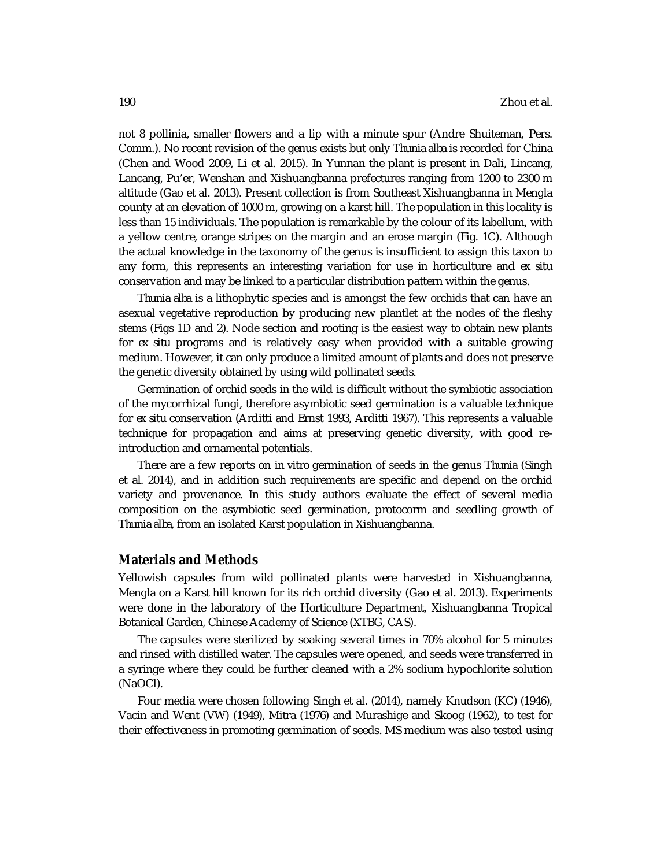not 8 pollinia, smaller flowers and a lip with a minute spur (Andre Shuiteman, Pers. Comm.). No recent revision of the genus exists but only *Thunia alba* is recorded for China (Chen and Wood 2009, Li et al. 2015). In Yunnan the plant is present in Dali, Lincang, Lancang, Pu'er, Wenshan and Xishuangbanna prefectures ranging from 1200 to 2300 m altitude (Gao et al. 2013). Present collection is from Southeast Xishuangbanna in Mengla county at an elevation of 1000 m, growing on a karst hill. The population in this locality is less than 15 individuals. The population is remarkable by the colour of its labellum, with a yellow centre, orange stripes on the margin and an erose margin (Fig. 1C). Although the actual knowledge in the taxonomy of the genus is insufficient to assign this taxon to any form, this represents an interesting variation for use in horticulture and *ex situ*  conservation and may be linked to a particular distribution pattern within the genus.

*Thunia alba* is a lithophytic species and is amongst the few orchids that can have an asexual vegetative reproduction by producing new plantlet at the nodes of the fleshy stems (Figs 1D and 2). Node section and rooting is the easiest way to obtain new plants for *ex situ* programs and is relatively easy when provided with a suitable growing medium. However, it can only produce a limited amount of plants and does not preserve the genetic diversity obtained by using wild pollinated seeds.

Germination of orchid seeds in the wild is difficult without the symbiotic association of the mycorrhizal fungi, therefore asymbiotic seed germination is a valuable technique for *ex situ* conservation (Arditti and Ernst 1993, Arditti 1967). This represents a valuable technique for propagation and aims at preserving genetic diversity, with good reintroduction and ornamental potentials.

There are a few reports on *in vitro* germination of seeds in the genus *Thunia* (Singh et al. 2014), and in addition such requirements are specific and depend on the orchid variety and provenance. In this study authors evaluate the effect of several media composition on the asymbiotic seed germination, protocorm and seedling growth of *Thunia alba*, from an isolated Karst population in Xishuangbanna.

### **Materials and Methods**

Yellowish capsules from wild pollinated plants were harvested in Xishuangbanna, Mengla on a Karst hill known for its rich orchid diversity (Gao et al. 2013). Experiments were done in the laboratory of the Horticulture Department, Xishuangbanna Tropical Botanical Garden, Chinese Academy of Science (XTBG, CAS).

The capsules were sterilized by soaking several times in 70% alcohol for 5 minutes and rinsed with distilled water. The capsules were opened, and seeds were transferred in a syringe where they could be further cleaned with a 2% sodium hypochlorite solution (NaOCl).

Four media were chosen following Singh et al. (2014), namely Knudson (KC) (1946), Vacin and Went (VW) (1949), Mitra (1976) and Murashige and Skoog (1962), to test for their effectiveness in promoting germination of seeds. MS medium was also tested using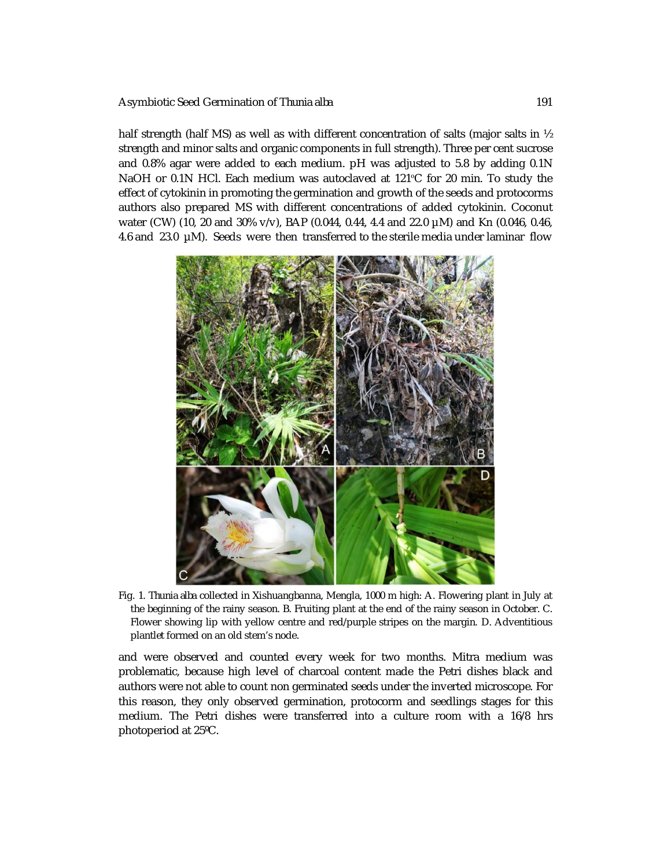#### Asymbiotic Seed Germination of *Thunia alba* 191

half strength (half MS) as well as with different concentration of salts (major salts in  $\frac{1}{2}$ ) strength and minor salts and organic components in full strength). Three per cent sucrose and 0.8% agar were added to each medium. pH was adjusted to 5.8 by adding 0.1N NaOH or 0.1N HCl. Each medium was autoclaved at 121ºC for 20 min. To study the effect of cytokinin in promoting the germination and growth of the seeds and protocorms authors also prepared MS with different concentrations of added cytokinin. Coconut water (CW) (10, 20 and 30% v/v), BAP (0.044, 0.44, 4.4 and 22.0 µM) and Kn (0.046, 0.46, 4.6 and 23.0 µM). Seeds were then transferred to the sterile media under laminar flow



Fig. 1. *Thunia alba* collected in Xishuangbanna, Mengla, 1000 m high: A. Flowering plant in July at the beginning of the rainy season. B. Fruiting plant at the end of the rainy season in October. C. Flower showing lip with yellow centre and red/purple stripes on the margin. D. Adventitious plantlet formed on an old stem's node.

and were observed and counted every week for two months. Mitra medium was problematic, because high level of charcoal content made the Petri dishes black and authors were not able to count non germinated seeds under the inverted microscope. For this reason, they only observed germination, protocorm and seedlings stages for this medium. The Petri dishes were transferred into a culture room with a 16/8 hrs photoperiod at 25ºC.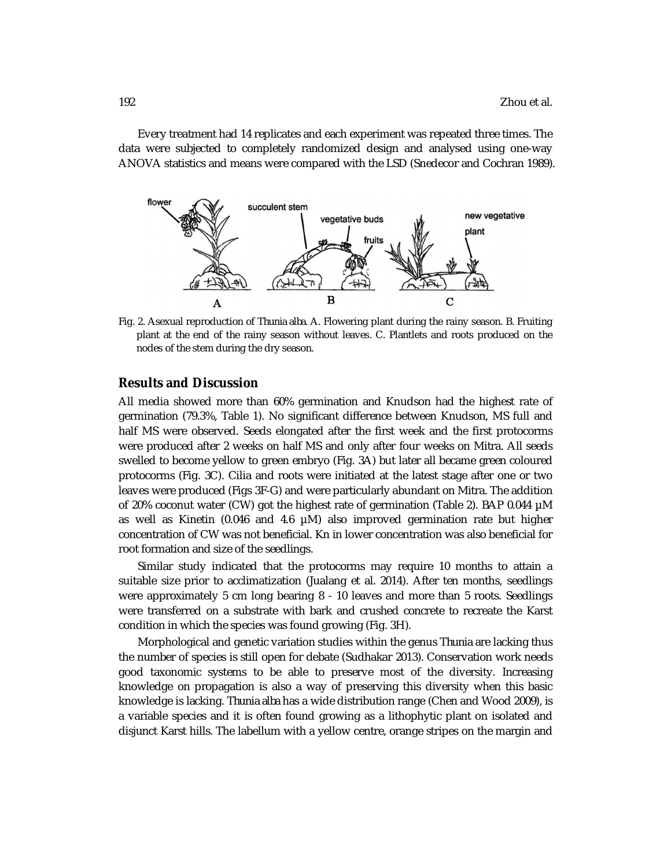Every treatment had 14 replicates and each experiment was repeated three times. The data were subjected to completely randomized design and analysed using one-way ANOVA statistics and means were compared with the LSD (Snedecor and Cochran 1989).



Fig. 2. Asexual reproduction of *Thunia alba*. A. Flowering plant during the rainy season. B. Fruiting plant at the end of the rainy season without leaves. C. Plantlets and roots produced on the nodes of the stem during the dry season.

### **Results and Discussion**

All media showed more than 60% germination and Knudson had the highest rate of germination (79.3%, Table 1). No significant difference between Knudson, MS full and half MS were observed. Seeds elongated after the first week and the first protocorms were produced after 2 weeks on half MS and only after four weeks on Mitra. All seeds swelled to become yellow to green embryo (Fig. 3A) but later all became green coloured protocorms (Fig. 3C). Cilia and roots were initiated at the latest stage after one or two leaves were produced (Figs 3F-G) and were particularly abundant on Mitra. The addition of 20% coconut water (CW) got the highest rate of germination (Table 2). BAP 0.044 µM as well as Kinetin (0.046 and 4.6 µM) also improved germination rate but higher concentration of CW was not beneficial. Kn in lower concentration was also beneficial for root formation and size of the seedlings.

Similar study indicated that the protocorms may require 10 months to attain a suitable size prior to acclimatization (Jualang et al. 2014). After ten months, seedlings were approximately 5 cm long bearing 8 - 10 leaves and more than 5 roots. Seedlings were transferred on a substrate with bark and crushed concrete to recreate the Karst condition in which the species was found growing (Fig. 3H).

Morphological and genetic variation studies within the genus *Thunia* are lacking thus the number of species is still open for debate (Sudhakar 2013). Conservation work needs good taxonomic systems to be able to preserve most of the diversity. Increasing knowledge on propagation is also a way of preserving this diversity when this basic knowledge is lacking. *Thunia alba* has a wide distribution range (Chen and Wood 2009), is a variable species and it is often found growing as a lithophytic plant on isolated and disjunct Karst hills. The labellum with a yellow centre, orange stripes on the margin and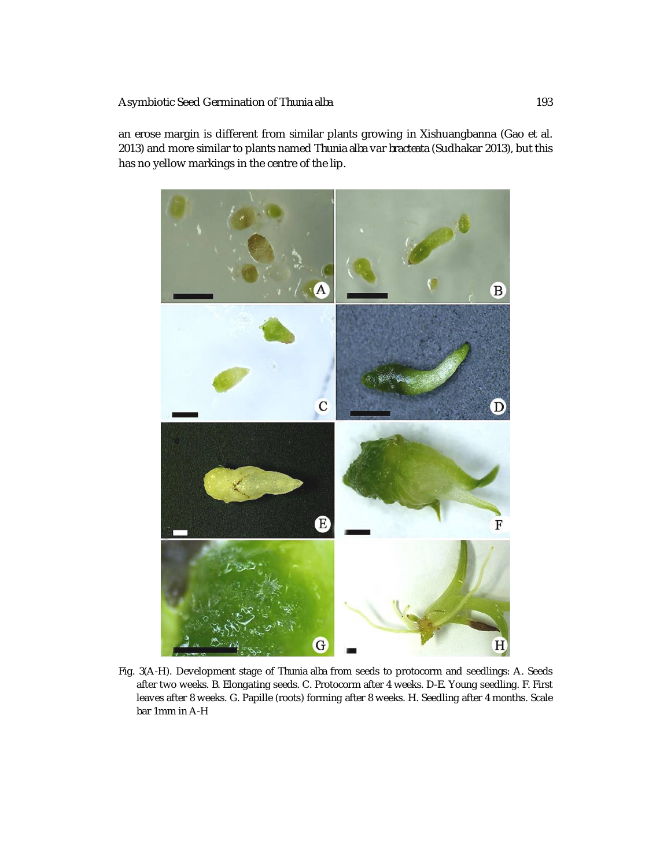#### Asymbiotic Seed Germination of *Thunia alba* 193

an erose margin is different from similar plants growing in Xishuangbanna (Gao et al. 2013) and more similar to plants named *Thunia alba* var *bracteata* (Sudhakar 2013), but this has no yellow markings in the centre of the lip.



Fig. 3(A-H). Development stage of *Thunia alba* from seeds to protocorm and seedlings: A. Seeds after two weeks. B. Elongating seeds. C. Protocorm after 4 weeks. D-E. Young seedling. F. First leaves after 8 weeks. G. Papille (roots) forming after 8 weeks. H. Seedling after 4 months. Scale bar 1mm in A-H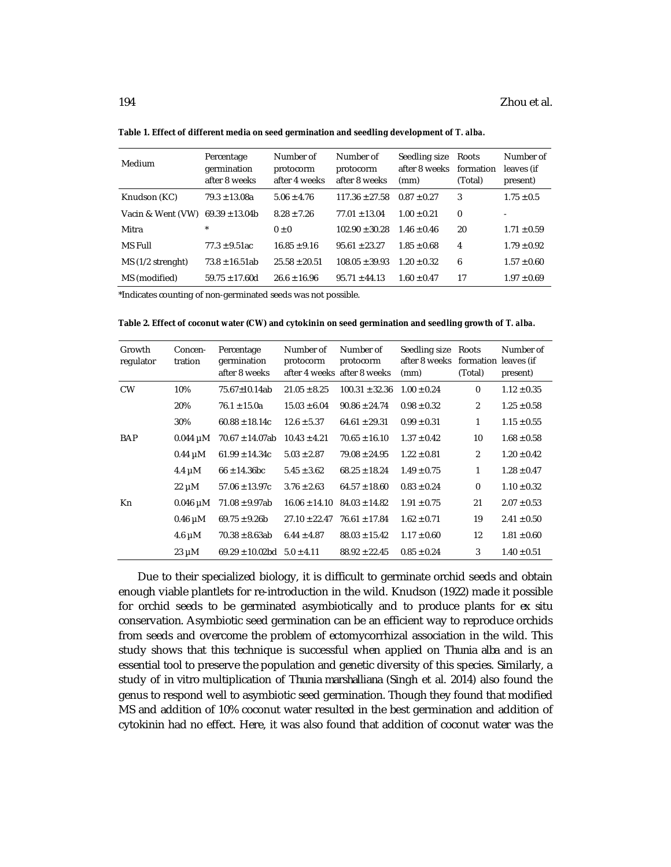| Medium                               | Percentage<br>germination<br>after 8 weeks | Number of<br>protocorm<br>after 4 weeks | Number of<br>protocorm<br>after 8 weeks | Seedling size<br>after 8 weeks<br>(mm) | Roots<br>formation<br>(Total) | Number of<br>leaves (if<br>present) |
|--------------------------------------|--------------------------------------------|-----------------------------------------|-----------------------------------------|----------------------------------------|-------------------------------|-------------------------------------|
| Knudson (KC)                         | $79.3 \pm 13.08a$                          | $5.06 \pm 4.76$                         | $117.36 \pm 27.58$                      | $0.87 + 0.27$                          | 3                             | $1.75 \pm 0.5$                      |
| Vacin & Went (VW) $69.39 \pm 13.04b$ |                                            | $8.28 + 7.26$                           | $77.01 + 13.04$                         | $1.00 + 0.21$                          | $\Omega$                      | ٠                                   |
| Mitra                                | $\star$                                    | $0 + 0$                                 | $102.90 + 30.28$                        | $1.46 \pm 0.46$                        | 20                            | $1.71 \pm 0.59$                     |
| MS Full                              | $77.3 \pm 9.51$ ac                         | $16.85 + 9.16$                          | $95.61 + 23.27$                         | $1.85 + 0.68$                          | 4                             | $1.79 \pm 0.92$                     |
| MS (1/2 strenght)                    | $73.8 + 16.51ab$                           | $25.58 + 20.51$                         | $108.05 + 39.93$                        | $1.20 + 0.32$                          | 6                             | $1.57 \pm 0.60$                     |
| MS (modified)                        | $59.75 \pm 17.60d$                         | $26.6 + 16.96$                          | $95.71 + 44.13$                         | $1.60 \pm 0.47$                        | 17                            | $1.97 \pm 0.69$                     |

**Table 1. Effect of different media on seed germination and seedling development of** *T. alba.*

\*Indicates counting of non-germinated seeds was not possible.

| Growth<br>regulator | Concen-<br>tration | Percentage<br>germination<br>after 8 weeks | Number of<br>protocorm | Number of<br>protocorm<br>after 4 weeks after 8 weeks | Seedling size<br>after 8 weeks<br>(mm) | Roots<br>formation leaves (if<br>(Total) | Number of<br>present) |
|---------------------|--------------------|--------------------------------------------|------------------------|-------------------------------------------------------|----------------------------------------|------------------------------------------|-----------------------|
| <b>CW</b>           | 10%                | 75.67±10.14ab                              | $21.05 \pm 8.25$       | $100.31 \pm 32.36$                                    | $1.00 \pm 0.24$                        | $\mathbf 0$                              | $1.12 \pm 0.35$       |
|                     | 20%                | $76.1 \pm 15.0a$                           | $15.03 \pm 6.04$       | $90.86 \pm 24.74$                                     | $0.98 \pm 0.32$                        | $\overline{2}$                           | $1.25 \pm 0.58$       |
|                     | 30%                | $60.88 \pm 18.14c$                         | $12.6 \pm 5.37$        | $64.61 \pm 29.31$                                     | $0.99 \pm 0.31$                        | 1                                        | $1.15 \pm 0.55$       |
| <b>BAP</b>          | $0.044 \mu M$      | $70.67 \pm 14.07ab$                        | $10.43 \pm 4.21$       | $70.65 \pm 16.10$                                     | $1.37 \pm 0.42$                        | 10                                       | $1.68 \pm 0.58$       |
|                     | $0.44 \mu M$       | $61.99 \pm 14.34c$                         | $5.03 \pm 2.87$        | $79.08 \pm 24.95$                                     | $1.22 \pm 0.81$                        | 2                                        | $1.20 \pm 0.42$       |
|                     | 4.4 $\mu$ M        | $66 \pm 14.36$ bc                          | $5.45 \pm 3.62$        | $68.25 \pm 18.24$                                     | $1.49 \pm 0.75$                        | 1                                        | $1.28 \pm 0.47$       |
|                     | $22 \mu M$         | $57.06 \pm 13.97c$                         | $3.76 \pm 2.63$        | $64.57 \pm 18.60$                                     | $0.83 \pm 0.24$                        | $\mathbf 0$                              | $1.10 \pm 0.32$       |
| Kn                  | $0.046 \mu M$      | $71.08 \pm 9.97ab$                         | $16.06 \pm 14.10$      | $84.03 \pm 14.82$                                     | $1.91 \pm 0.75$                        | 21                                       | $2.07 \pm 0.53$       |
|                     | $0.46 \mu M$       | $69.75 \pm 9.26b$                          | $27.10 \pm 22.47$      | $76.61 \pm 17.84$                                     | $1.62 \pm 0.71$                        | 19                                       | $2.41 \pm 0.50$       |
|                     | 4.6 $\mu$ M        | $70.38 \pm 8.63ab$                         | $6.44 \pm 4.87$        | $88.03 \pm 15.42$                                     | $1.17 \pm 0.60$                        | 12                                       | $1.81 \pm 0.60$       |
|                     | $23 \mu M$         | $69.29 \pm 10.02$ bd                       | $5.0 \pm 4.11$         | $88.92 \pm 22.45$                                     | $0.85 \pm 0.24$                        | 3                                        | $1.40 \pm 0.51$       |

Due to their specialized biology, it is difficult to germinate orchid seeds and obtain enough viable plantlets for re-introduction in the wild. Knudson (1922) made it possible for orchid seeds to be germinated asymbiotically and to produce plants for *ex situ* conservation. Asymbiotic seed germination can be an efficient way to reproduce orchids from seeds and overcome the problem of ectomycorrhizal association in the wild. This study shows that this technique is successful when applied on *Thunia alba* and is an essential tool to preserve the population and genetic diversity of this species. Similarly, a study of *in vitro* multiplication of *Thunia marshalliana* (Singh et al. 2014) also found the genus to respond well to asymbiotic seed germination. Though they found that modified MS and addition of 10% coconut water resulted in the best germination and addition of cytokinin had no effect. Here, it was also found that addition of coconut water was the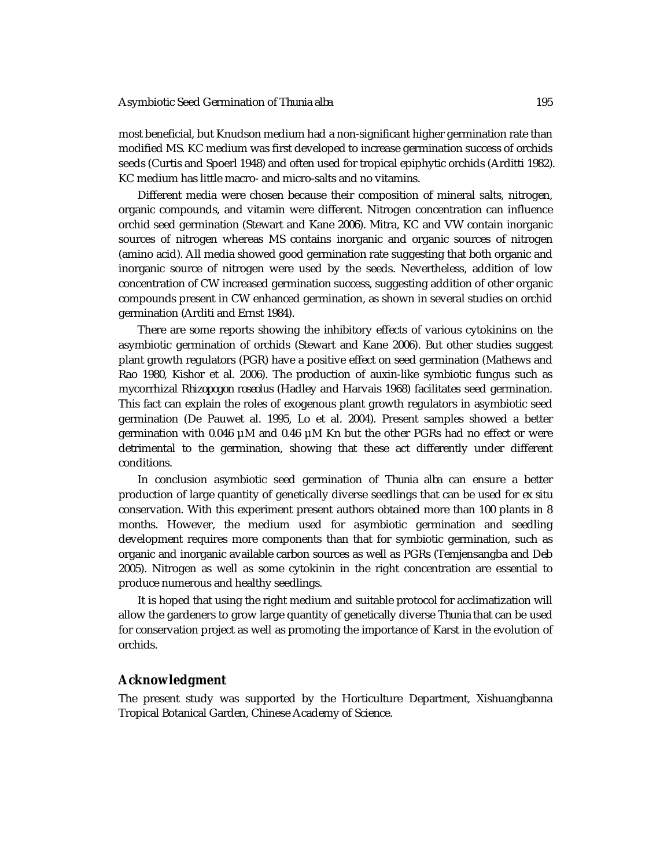most beneficial, but Knudson medium had a non-significant higher germination rate than modified MS. KC medium was first developed to increase germination success of orchids seeds (Curtis and Spoerl 1948) and often used for tropical epiphytic orchids (Arditti 1982). KC medium has little macro- and micro-salts and no vitamins.

Different media were chosen because their composition of mineral salts, nitrogen, organic compounds, and vitamin were different. Nitrogen concentration can influence orchid seed germination (Stewart and Kane 2006). Mitra, KC and VW contain inorganic sources of nitrogen whereas MS contains inorganic and organic sources of nitrogen (amino acid). All media showed good germination rate suggesting that both organic and inorganic source of nitrogen were used by the seeds. Nevertheless, addition of low concentration of CW increased germination success, suggesting addition of other organic compounds present in CW enhanced germination, as shown in several studies on orchid germination (Arditi and Ernst 1984).

There are some reports showing the inhibitory effects of various cytokinins on the asymbiotic germination of orchids (Stewart and Kane 2006). But other studies suggest plant growth regulators (PGR) have a positive effect on seed germination (Mathews and Rao 1980, Kishor et al. 2006). The production of auxin-like symbiotic fungus such as mycorrhizal *Rhizopogon roseolus* (Hadley and Harvais 1968) facilitates seed germination. This fact can explain the roles of exogenous plant growth regulators in asymbiotic seed germination (De Pauwet al. 1995, Lo et al. 2004). Present samples showed a better germination with 0.046 µM and 0.46 µM Kn but the other PGRs had no effect or were detrimental to the germination, showing that these act differently under different conditions.

In conclusion asymbiotic seed germination of *Thunia alba* can ensure a better production of large quantity of genetically diverse seedlings that can be used for *ex situ* conservation. With this experiment present authors obtained more than 100 plants in 8 months. However, the medium used for asymbiotic germination and seedling development requires more components than that for symbiotic germination, such as organic and inorganic available carbon sources as well as PGRs (Temjensangba and Deb 2005). Nitrogen as well as some cytokinin in the right concentration are essential to produce numerous and healthy seedlings.

It is hoped that using the right medium and suitable protocol for acclimatization will allow the gardeners to grow large quantity of genetically diverse *Thunia* that can be used for conservation project as well as promoting the importance of Karst in the evolution of orchids.

#### **Acknowledgment**

The present study was supported by the Horticulture Department, Xishuangbanna Tropical Botanical Garden, Chinese Academy of Science.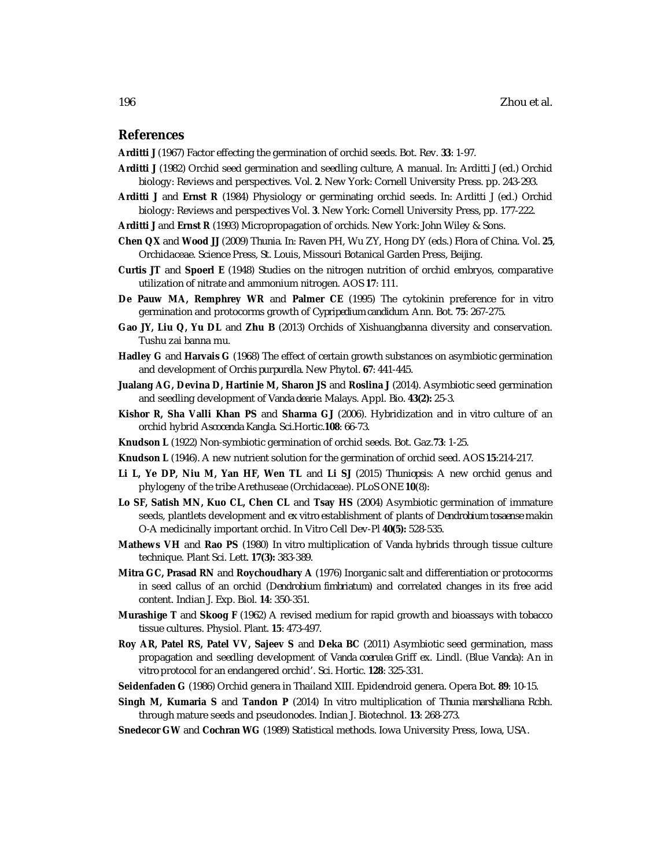### **References**

**Arditti J** (1967) Factor effecting the germination of orchid seeds. Bot. Rev. **33**: 1-97.

- **Arditti J** (1982) Orchid seed germination and seedling culture, A manual. *In:* Arditti J (ed.) Orchid biology: Reviews and perspectives. Vol. **2**. New York: Cornell University Press. pp. 243-293.
- **Arditti J** and **Ernst R** (1984) Physiology or germinating orchid seeds. *In:* Arditti J (ed.) Orchid biology: Reviews and perspectives Vol. **3**. New York: Cornell University Press, pp. 177-222.
- **Arditti J** and **Ernst R** (1993) Micropropagation of orchids. New York: John Wiley & Sons.
- **Chen QX** and **Wood JJ** (2009) *Thunia*. *In:* Raven PH, Wu ZY, Hong DY (eds.) Flora of China. Vol. **25**, Orchidaceae. Science Press, St. Louis, Missouri Botanical Garden Press, Beijing.
- **Curtis JT** and **Spoerl E** (1948) Studies on the nitrogen nutrition of orchid embryos, comparative utilization of nitrate and ammonium nitrogen. AOS **17**: 111.
- **De Pauw MA, Remphrey WR** and **Palmer CE** (1995) The cytokinin preference for *in vitro* germination and protocorms growth of *Cypripedium candidum.* Ann. Bot. **75**: 267-275.
- **Gao JY, Liu Q, Yu DL** and **Zhu B** (2013) Orchids of Xishuangbanna diversity and conservation. Tushu zai banna mu.
- **Hadley G** and **Harvais G** (1968) The effect of certain growth substances on asymbiotic germination and development of *Orchis purpurella*. New Phytol. **67**: 441-445.
- **Jualang AG, Devina D, Hartinie M, Sharon JS** and **Roslina J** (2014). Asymbiotic seed germination and seedling development of *Vanda dearie.* Malays. Appl. Bio. **43(2):** 25-3*.*
- **Kishor R, Sha Valli Khan PS** and **Sharma GJ** (2006). Hybridization and *in vitro* culture of an orchid hybrid *Ascocenda Kangla*. Sci.Hortic.**108**: 66-73.
- **Knudson L** (1922) Non-symbiotic germination of orchid seeds. Bot. Gaz.**73**: 1-25.
- **Knudson L** (1946). A new nutrient solution for the germination of orchid seed. AOS **15**:214-217.
- **Li L, Ye DP, Niu M, Yan HF, Wen TL** and **Li SJ** (2015) *Thuniopsis*: A new orchid genus and phylogeny of the tribe Arethuseae (Orchidaceae). PLoS ONE **10**(8):
- **Lo SF, Satish MN, Kuo CL, Chen CL** and **Tsay HS** (2004) Asymbiotic germination of immature seeds, plantlets development and *ex vitro* establishment of plants of *Dendrobium tosaense* makin O-A medicinally important orchid. In Vitro Cell Dev-Pl **40(5):** 528-535.
- **Mathews VH** and **Rao PS** (1980) *In vitro* multiplication of *Vanda* hybrids through tissue culture technique. Plant Sci. Lett. **17(3):** 383-389.
- **Mitra GC, Prasad RN** and **Roychoudhary A** (1976) Inorganic salt and differentiation or protocorms in seed callus of an orchid (*Dendrobium fimbriatum*) and correlated changes in its free acid content. Indian J. Exp. Biol. **14**: 350-351.
- **Murashige T** and **Skoog F** (1962) A revised medium for rapid growth and bioassays with tobacco tissue cultures. Physiol. Plant. **15**: 473-497.
- **Roy AR, Patel RS, Patel VV, Sajeev S** and **Deka BC** (2011) Asymbiotic seed germination, mass propagation and seedling development of *Vanda coerulea* Griff ex. Lindl. (Blue *Vanda*): An *in vitro* protocol for an endangered orchid'. Sci. Hortic. **128**: 325-331.
- **Seidenfaden G** (1986) Orchid genera in Thailand XIII. Epidendroid genera. Opera Bot. **89**: 10-15.
- **Singh M, Kumaria S** and **Tandon P** (2014) *In vitro* multiplication of *Thunia marshalliana* Rcbh. through mature seeds and pseudonodes. Indian J. Biotechnol. **13**: 268-273.
- **Snedecor GW** and **Cochran WG** (1989) Statistical methods. Iowa University Press, Iowa, USA.